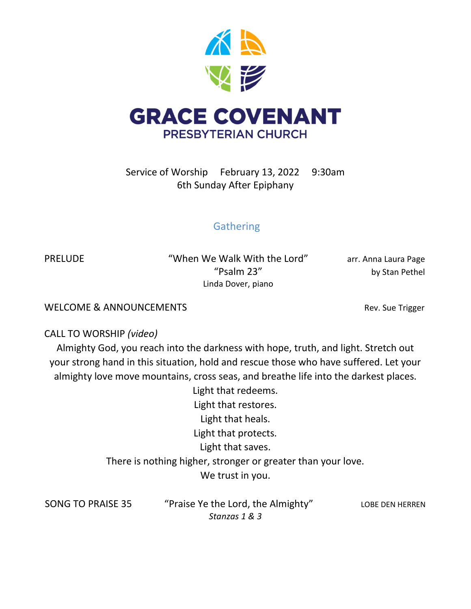

Service of Worship February 13, 2022 9:30am 6th Sunday After Epiphany

# **Gathering**

PRELUDE "When We Walk With the Lord" arr. Anna Laura Page "Psalm 23" by Stan Pethel Linda Dover, piano

WELCOME & ANNOUNCEMENTS **Rev.** Sue Trigger

CALL TO WORSHIP *(video)*

Almighty God, you reach into the darkness with hope, truth, and light. Stretch out your strong hand in this situation, hold and rescue those who have suffered. Let your almighty love move mountains, cross seas, and breathe life into the darkest places.

> Light that redeems. Light that restores. Light that heals. Light that protects. Light that saves. There is nothing higher, stronger or greater than your love. We trust in you.

SONG TO PRAISE 35 "Praise Ye the Lord, the Almighty" LOBE DEN HERREN *Stanzas 1 & 3*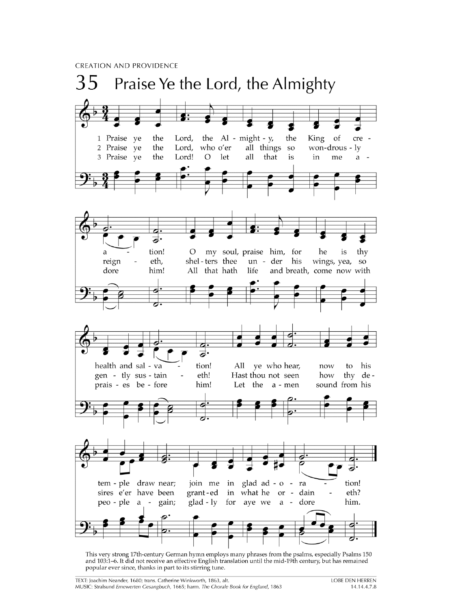**CREATION AND PROVIDENCE** 



This very strong 17th-century German hymn employs many phrases from the psalms, especially Psalms 150 and 103:1-6. It did not receive an effective English translation until the mid-19th century, but has remained popular ever since, thanks in part to its stirring tune.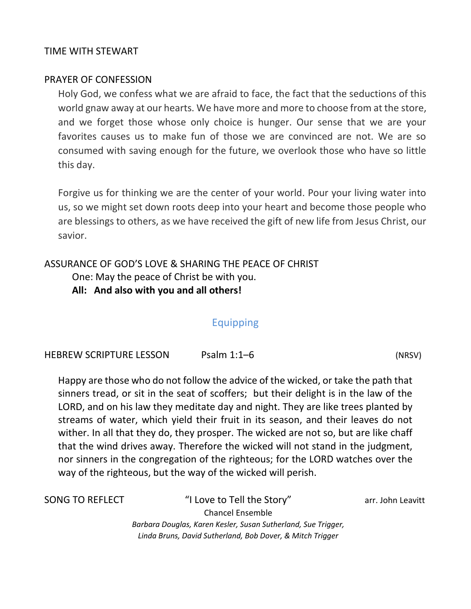#### TIME WITH STEWART

#### PRAYER OF CONFESSION

Holy God, we confess what we are afraid to face, the fact that the seductions of this world gnaw away at our hearts. We have more and more to choose from at the store, and we forget those whose only choice is hunger. Our sense that we are your favorites causes us to make fun of those we are convinced are not. We are so consumed with saving enough for the future, we overlook those who have so little this day.

Forgive us for thinking we are the center of your world. Pour your living water into us, so we might set down roots deep into your heart and become those people who are blessings to others, as we have received the gift of new life from Jesus Christ, our savior.

#### ASSURANCE OF GOD'S LOVE & SHARING THE PEACE OF CHRIST

One: May the peace of Christ be with you.

**All: And also with you and all others!**

### Equipping

HEBREW SCRIPTURE LESSON Psalm 1:1–6 (NRSV)

Happy are those who do not follow the advice of the wicked, or take the path that sinners tread, or sit in the seat of scoffers; but their delight is in the law of the LORD, and on his law they meditate day and night. They are like trees planted by streams of water, which yield their fruit in its season, and their leaves do not wither. In all that they do, they prosper. The wicked are not so, but are like chaff that the wind drives away. Therefore the wicked will not stand in the judgment, nor sinners in the congregation of the righteous; for the LORD watches over the way of the righteous, but the way of the wicked will perish.

SONG TO REFLECT "I Love to Tell the Story" arr. John Leavitt Chancel Ensemble *Barbara Douglas, Karen Kesler, Susan Sutherland, Sue Trigger, Linda Bruns, David Sutherland, Bob Dover, & Mitch Trigger*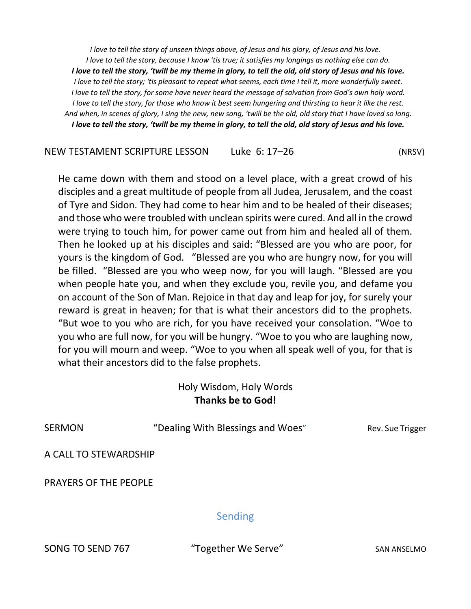*I love to tell the story of unseen things above, of Jesus and his glory, of Jesus and his love. I love to tell the story, because I know 'tis true; it satisfies my longings as nothing else can do. I love to tell the story, 'twill be my theme in glory, to tell the old, old story of Jesus and his love. I love to tell the story; 'tis pleasant to repeat what seems, each time I tell it, more wonderfully sweet. I love to tell the story, for some have never heard the message of salvation from God's own holy word. I love to tell the story, for those who know it best seem hungering and thirsting to hear it like the rest. And when, in scenes of glory, I sing the new, new song, 'twill be the old, old story that I have loved so long. I love to tell the story, 'twill be my theme in glory, to tell the old, old story of Jesus and his love.*

NEW TESTAMENT SCRIPTURE LESSON Luke 6: 17–26 (NRSV)

He came down with them and stood on a level place, with a great crowd of his disciples and a great multitude of people from all Judea, Jerusalem, and the coast of Tyre and Sidon. They had come to hear him and to be healed of their diseases; and those who were troubled with unclean spirits were cured. And all in the crowd were trying to touch him, for power came out from him and healed all of them. Then he looked up at his disciples and said: "Blessed are you who are poor, for yours is the kingdom of God. "Blessed are you who are hungry now, for you will be filled. "Blessed are you who weep now, for you will laugh. "Blessed are you when people hate you, and when they exclude you, revile you, and defame you on account of the Son of Man. Rejoice in that day and leap for joy, for surely your reward is great in heaven; for that is what their ancestors did to the prophets. "But woe to you who are rich, for you have received your consolation. "Woe to you who are full now, for you will be hungry. "Woe to you who are laughing now, for you will mourn and weep. "Woe to you when all speak well of you, for that is what their ancestors did to the false prophets.

## Holy Wisdom, Holy Words **Thanks be to God!**

| SERMON | "Dealing With Blessings and Woes" | Rev. Sue Trigger |
|--------|-----------------------------------|------------------|
|        |                                   |                  |

A CALL TO STEWARDSHIP

PRAYERS OF THE PEOPLE

### Sending

SONG TO SEND 767 "Together We Serve" SAN ANSELMO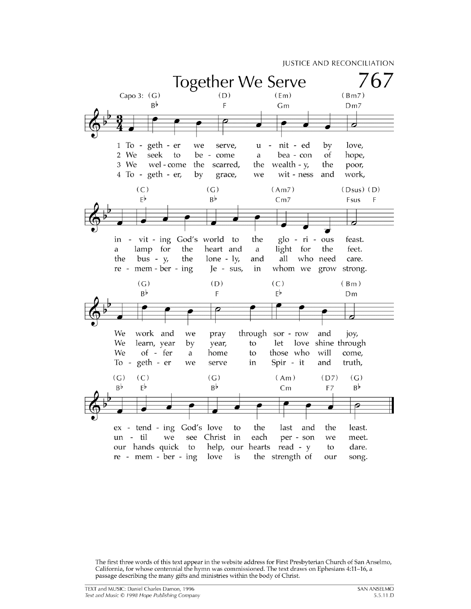

The first three words of this text appear in the website address for First Presbyterian Church of San Anselmo, California, for whose centennial the hymn was commissioned. The text draws on Ephesians 4:11-16, a passage describing the many gifts and ministries within the body of Christ.